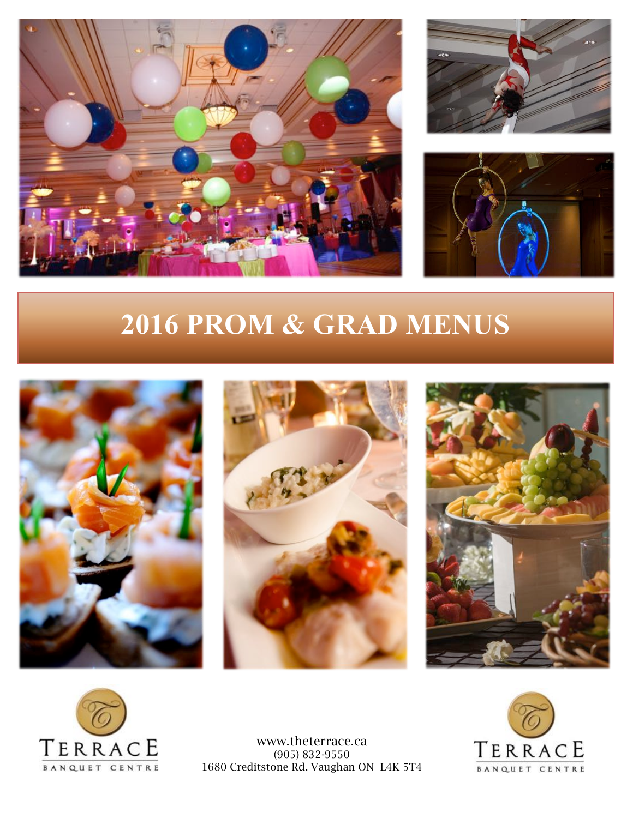





## **2016 PROM & GRAD MENUS**









www.theterrace.ca (905) 832-9550 1680 Creditstone Rd. Vaughan ON L4K 5T4

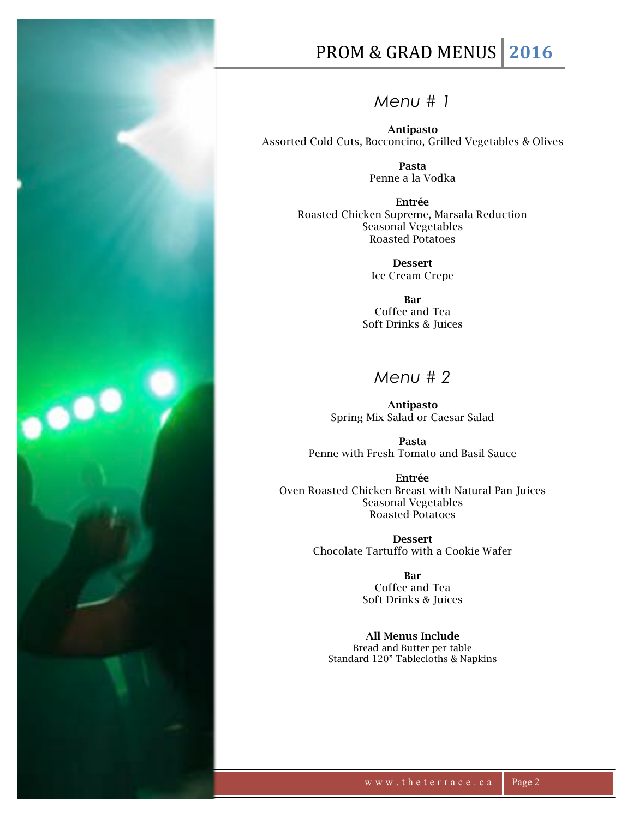

## PROM & GRAD MENUS 2016

*Menu # 1*

Antipasto Assorted Cold Cuts, Bocconcino, Grilled Vegetables & Olives

> Pasta Penne a la Vodka

Entrée Roasted Chicken Supreme, Marsala Reduction Seasonal Vegetables Roasted Potatoes

> Dessert Ice Cream Crepe

Bar Coffee and Tea Soft Drinks & Juices

## *Menu # 2*

Antipasto Spring Mix Salad or Caesar Salad

Pasta Penne with Fresh Tomato and Basil Sauce

Entrée Oven Roasted Chicken Breast with Natural Pan Juices Seasonal Vegetables Roasted Potatoes

> Dessert Chocolate Tartuffo with a Cookie Wafer

> > Bar Coffee and Tea Soft Drinks & Juices

All Menus Include Bread and Butter per table Standard 120" Tablecloths & Napkins